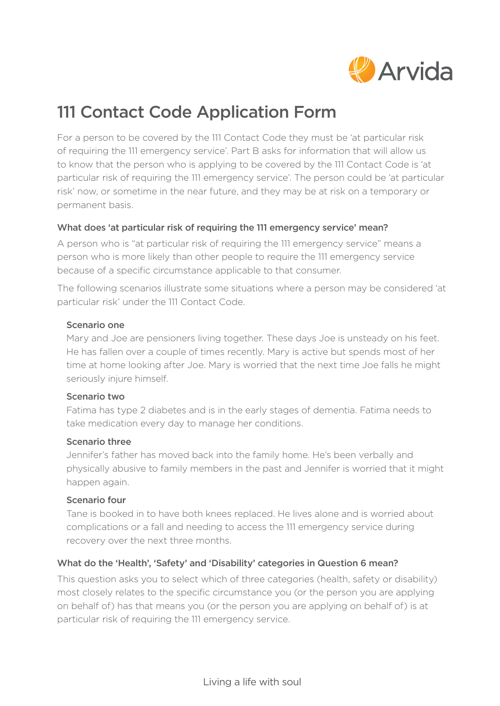

## 111 Contact Code Application Form

For a person to be covered by the 111 Contact Code they must be 'at particular risk of requiring the 111 emergency service'. Part B asks for information that will allow us to know that the person who is applying to be covered by the 111 Contact Code is 'at particular risk of requiring the 111 emergency service'. The person could be 'at particular risk' now, or sometime in the near future, and they may be at risk on a temporary or permanent basis.

#### What does 'at particular risk of requiring the 111 emergency service' mean?

A person who is "at particular risk of requiring the 111 emergency service" means a person who is more likely than other people to require the 111 emergency service because of a specific circumstance applicable to that consumer.

The following scenarios illustrate some situations where a person may be considered 'at particular risk' under the 111 Contact Code.

#### Scenario one

 Mary and Joe are pensioners living together. These days Joe is unsteady on his feet. He has fallen over a couple of times recently. Mary is active but spends most of her time at home looking after Joe. Mary is worried that the next time Joe falls he might seriously injure himself.

#### Scenario two

 Fatima has type 2 diabetes and is in the early stages of dementia. Fatima needs to take medication every day to manage her conditions.

#### Scenario three

 Jennifer's father has moved back into the family home. He's been verbally and physically abusive to family members in the past and Jennifer is worried that it might happen again.

#### Scenario four

 Tane is booked in to have both knees replaced. He lives alone and is worried about complications or a fall and needing to access the 111 emergency service during recovery over the next three months.

#### What do the 'Health', 'Safety' and 'Disability' categories in Question 6 mean?

This question asks you to select which of three categories (health, safety or disability) most closely relates to the specific circumstance you (or the person you are applying on behalf of) has that means you (or the person you are applying on behalf of) is at particular risk of requiring the 111 emergency service.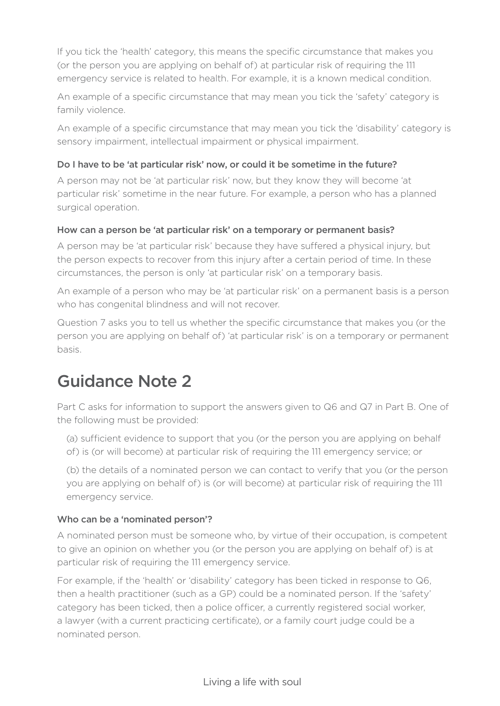If you tick the 'health' category, this means the specific circumstance that makes you (or the person you are applying on behalf of) at particular risk of requiring the 111 emergency service is related to health. For example, it is a known medical condition.

An example of a specific circumstance that may mean you tick the 'safety' category is family violence.

An example of a specific circumstance that may mean you tick the 'disability' category is sensory impairment, intellectual impairment or physical impairment.

## Do I have to be 'at particular risk' now, or could it be sometime in the future?

A person may not be 'at particular risk' now, but they know they will become 'at particular risk' sometime in the near future. For example, a person who has a planned surgical operation.

## How can a person be 'at particular risk' on a temporary or permanent basis?

A person may be 'at particular risk' because they have suffered a physical injury, but the person expects to recover from this injury after a certain period of time. In these circumstances, the person is only 'at particular risk' on a temporary basis.

An example of a person who may be 'at particular risk' on a permanent basis is a person who has congenital blindness and will not recover.

Question 7 asks you to tell us whether the specific circumstance that makes you (or the person you are applying on behalf of) 'at particular risk' is on a temporary or permanent basis.

## Guidance Note 2

Part C asks for information to support the answers given to Q6 and Q7 in Part B. One of the following must be provided:

 (a) sufficient evidence to support that you (or the person you are applying on behalf of) is (or will become) at particular risk of requiring the 111 emergency service; or

 (b) the details of a nominated person we can contact to verify that you (or the person you are applying on behalf of) is (or will become) at particular risk of requiring the 111 emergency service.

#### Who can be a 'nominated person'?

A nominated person must be someone who, by virtue of their occupation, is competent to give an opinion on whether you (or the person you are applying on behalf of) is at particular risk of requiring the 111 emergency service.

For example, if the 'health' or 'disability' category has been ticked in response to Q6, then a health practitioner (such as a GP) could be a nominated person. If the 'safety' category has been ticked, then a police officer, a currently registered social worker, a lawyer (with a current practicing certificate), or a family court judge could be a nominated person.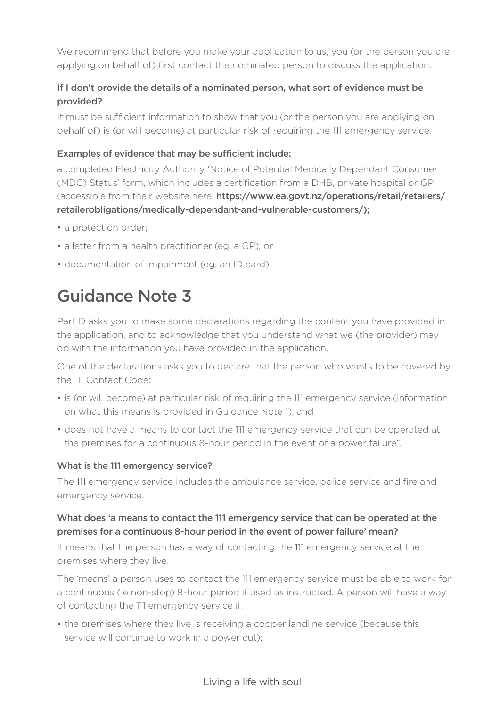We recommend that before you make your application to us, you (or the person you are applying on behalf of) first contact the nominated person to discuss the application.

## If I don't provide the details of a nominated person, what sort of evidence must be provided?

It must be sufficient information to show that you (or the person you are applying on behalf of) is (or will become) at particular risk of requiring the 111 emergency service.

#### Examples of evidence that may be sufficient include:

a completed Electricity Authority 'Notice of Potential Medically Dependant Consumer (MDC) Status' form, which includes a certification from a DHB, private hospital or GP (accessible from their website here: https://www.ea.govt.nz/operations/retail/retailers/ retailerobligations/medically-dependant-and-vulnerable-customers/);

- a protection order;
- a letter from a health practitioner (eg, a GP); or
- documentation of impairment (eg, an ID card).

# Guidance Note 3

Part D asks you to make some declarations regarding the content you have provided in the application, and to acknowledge that you understand what we (the provider) may do with the information you have provided in the application.

One of the declarations asks you to declare that the person who wants to be covered by the 111 Contact Code:

- is (or will become) at particular risk of requiring the 111 emergency service (information on what this means is provided in Guidance Note 1); and
- does not have a means to contact the 111 emergency service that can be operated at the premises for a continuous 8-hour period in the event of a power failure".

#### What is the 111 emergency service?

The 111 emergency service includes the ambulance service, police service and fire and emergency service.

## What does 'a means to contact the 111 emergency service that can be operated at the premises for a continuous 8-hour period in the event of power failure' mean?

It means that the person has a way of contacting the 111 emergency service at the premises where they live.

The 'means' a person uses to contact the 111 emergency service must be able to work for a continuous (ie non-stop) 8-hour period if used as instructed. A person will have a way of contacting the 111 emergency service if:

• the premises where they live is receiving a copper landline service (because this service will continue to work in a power cut);